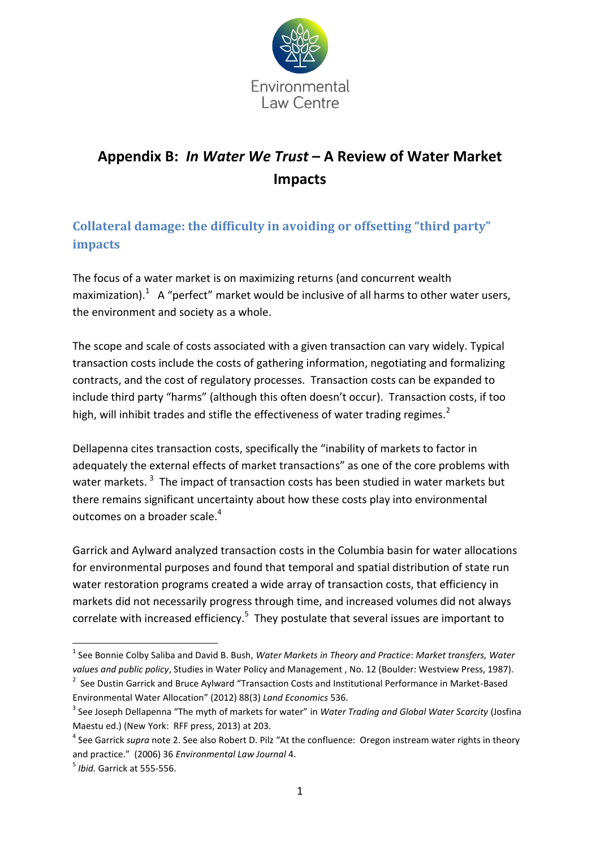

# **Appendix B:** *In Water We Trust* **– A Review of Water Market Impacts**

**Collateral damage: the difficulty in avoiding or offsetting "third party" impacts**

The focus of a water market is on maximizing returns (and concurrent wealth maximization). A "perfect" market would be inclusive of all harms to other water users, the environment and society as a whole.

The scope and scale of costs associated with a given transaction can vary widely. Typical transaction costs include the costs of gathering information, negotiating and formalizing contracts, and the cost of regulatory processes. Transaction costs can be expanded to include third party "harms" (although this often doesn't occur). Transaction costs, if too high, will inhibit trades and stifle the effectiveness of water trading regimes.<sup>2</sup>

Dellapenna cites transaction costs, specifically the "inability of markets to factor in adequately the external effects of market transactions" as one of the core problems with water markets.<sup>3</sup> The impact of transaction costs has been studied in water markets but there remains significant uncertainty about how these costs play into environmental outcomes on a broader scale.<sup>4</sup>

Garrick and Aylward analyzed transaction costs in the Columbia basin for water allocations for environmental purposes and found that temporal and spatial distribution of state run water restoration programs created a wide array of transaction costs, that efficiency in markets did not necessarily progress through time, and increased volumes did not always correlate with increased efficiency.<sup>5</sup> They postulate that several issues are important to

<sup>-</sup>1 See Bonnie Colby Saliba and David B. Bush, *Water Markets in Theory and Practice*: *Market transfers, Water values and public policy*, Studies in Water Policy and Management , No. 12 (Boulder: Westview Press, 1987).

<sup>&</sup>lt;sup>2</sup> See Dustin Garrick and Bruce Aylward "Transaction Costs and Institutional Performance in Market-Based Environmental Water Allocation" (2012) 88(3) *Land Economics* 536.

<sup>3</sup> See Joseph Dellapenna "The myth of markets for water" in *Water Trading and Global Water Scarcity* (Josfina Maestu ed.) (New York: RFF press, 2013) at 203.

<sup>4</sup> See Garrick *supra* note 2. See also Robert D. Pilz "At the confluence: Oregon instream water rights in theory and practice." (2006) 36 *Environmental Law Journal* 4.

<sup>5</sup> *Ibid.* Garrick at 555-556.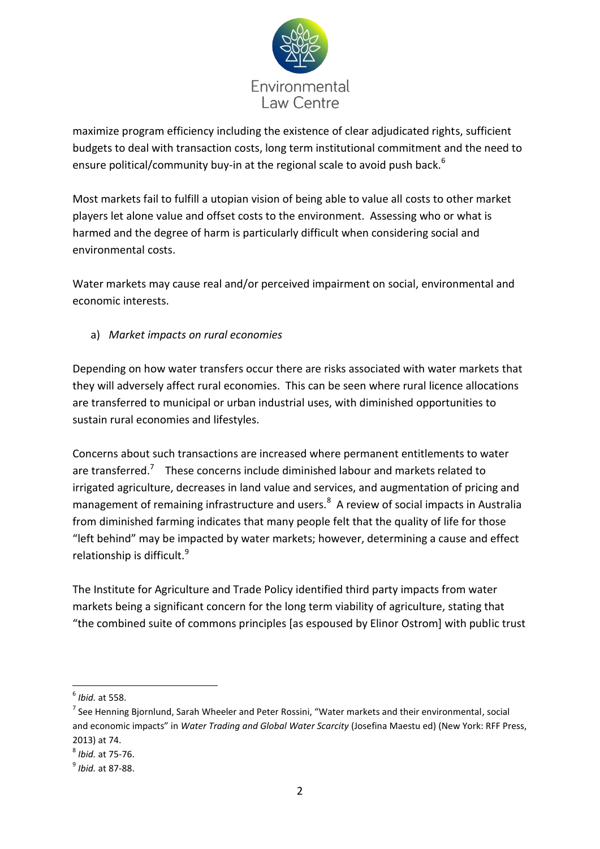

maximize program efficiency including the existence of clear adjudicated rights, sufficient budgets to deal with transaction costs, long term institutional commitment and the need to ensure political/community buy-in at the regional scale to avoid push back.<sup>6</sup>

Most markets fail to fulfill a utopian vision of being able to value all costs to other market players let alone value and offset costs to the environment. Assessing who or what is harmed and the degree of harm is particularly difficult when considering social and environmental costs.

Water markets may cause real and/or perceived impairment on social, environmental and economic interests.

a) *Market impacts on rural economies*

Depending on how water transfers occur there are risks associated with water markets that they will adversely affect rural economies. This can be seen where rural licence allocations are transferred to municipal or urban industrial uses, with diminished opportunities to sustain rural economies and lifestyles.

Concerns about such transactions are increased where permanent entitlements to water are transferred.<sup>7</sup> These concerns include diminished labour and markets related to irrigated agriculture, decreases in land value and services, and augmentation of pricing and management of remaining infrastructure and users.<sup>8</sup> A review of social impacts in Australia from diminished farming indicates that many people felt that the quality of life for those "left behind" may be impacted by water markets; however, determining a cause and effect relationship is difficult.<sup>9</sup>

The Institute for Agriculture and Trade Policy identified third party impacts from water markets being a significant concern for the long term viability of agriculture, stating that "the combined suite of commons principles [as espoused by Elinor Ostrom] with public trust

<sup>-</sup>6 *Ibid.* at 558.

<sup>&</sup>lt;sup>7</sup> See Henning Bjornlund, Sarah Wheeler and Peter Rossini, "Water markets and their environmental, social and economic impacts" in *Water Trading and Global Water Scarcity* (Josefina Maestu ed) (New York: RFF Press, 2013) at 74.

<sup>8</sup> *Ibid.* at 75-76.

<sup>9</sup> *Ibid.* at 87-88.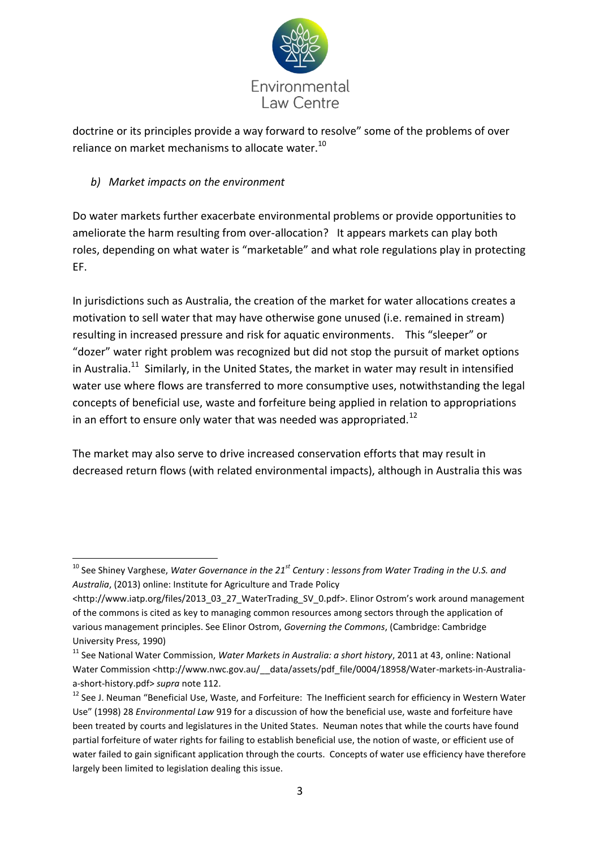

doctrine or its principles provide a way forward to resolve" some of the problems of over reliance on market mechanisms to allocate water.<sup>10</sup>

#### *b) Market impacts on the environment*

-

Do water markets further exacerbate environmental problems or provide opportunities to ameliorate the harm resulting from over-allocation? It appears markets can play both roles, depending on what water is "marketable" and what role regulations play in protecting EF.

In jurisdictions such as Australia, the creation of the market for water allocations creates a motivation to sell water that may have otherwise gone unused (i.e. remained in stream) resulting in increased pressure and risk for aquatic environments. This "sleeper" or "dozer" water right problem was recognized but did not stop the pursuit of market options in Australia.<sup>11</sup> Similarly, in the United States, the market in water may result in intensified water use where flows are transferred to more consumptive uses, notwithstanding the legal concepts of beneficial use, waste and forfeiture being applied in relation to appropriations in an effort to ensure only water that was needed was appropriated.<sup>12</sup>

The market may also serve to drive increased conservation efforts that may result in decreased return flows (with related environmental impacts), although in Australia this was

<sup>10</sup> See Shiney Varghese, *Water Governance in the 21st Century* : *lessons from Water Trading in the U.S. and Australia*, (2013) online: Institute for Agriculture and Trade Policy

<sup>&</sup>lt;http://www.iatp.org/files/2013\_03\_27\_WaterTrading\_SV\_0.pdf>. Elinor Ostrom's work around management of the commons is cited as key to managing common resources among sectors through the application of various management principles. See Elinor Ostrom, *Governing the Commons*, (Cambridge: Cambridge University Press, 1990)

<sup>11</sup> See National Water Commission, *Water Markets in Australia: a short history*, 2011 at 43, online: National Water Commission <http://www.nwc.gov.au/\_\_data/assets/pdf\_file/0004/18958/Water-markets-in-Australiaa-short-history.pdf> *supra* note 112.

<sup>&</sup>lt;sup>12</sup> See J. Neuman "Beneficial Use, Waste, and Forfeiture: The Inefficient search for efficiency in Western Water Use" (1998) 28 *Environmental Law* 919 for a discussion of how the beneficial use, waste and forfeiture have been treated by courts and legislatures in the United States. Neuman notes that while the courts have found partial forfeiture of water rights for failing to establish beneficial use, the notion of waste, or efficient use of water failed to gain significant application through the courts. Concepts of water use efficiency have therefore largely been limited to legislation dealing this issue.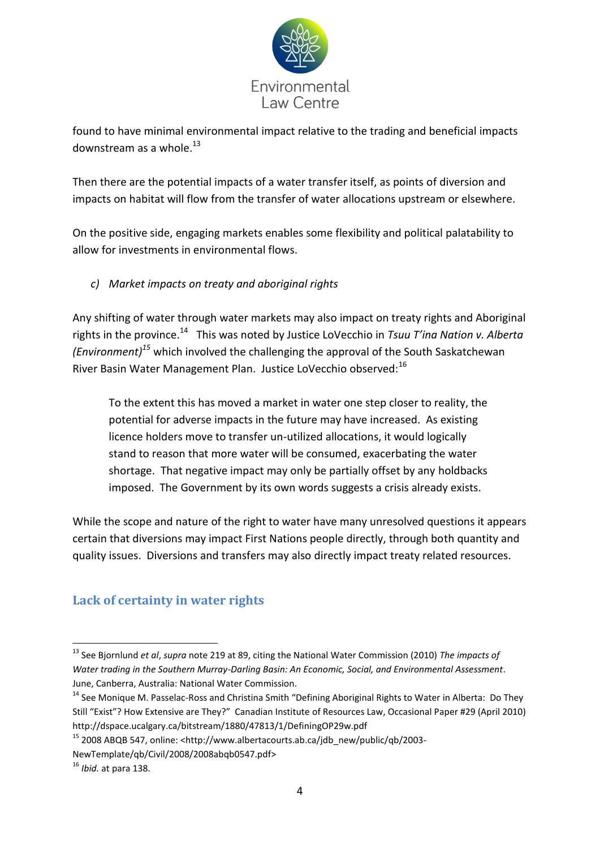

found to have minimal environmental impact relative to the trading and beneficial impacts downstream as a whole. $^{13}$ 

Then there are the potential impacts of a water transfer itself, as points of diversion and impacts on habitat will flow from the transfer of water allocations upstream or elsewhere.

On the positive side, engaging markets enables some flexibility and political palatability to allow for investments in environmental flows.

*c) Market impacts on treaty and aboriginal rights*

Any shifting of water through water markets may also impact on treaty rights and Aboriginal rights in the province.<sup>14</sup> This was noted by Justice LoVecchio in *Tsuu T'ina Nation v. Alberta (Environment)<sup>15</sup>* which involved the challenging the approval of the South Saskatchewan River Basin Water Management Plan. Justice LoVecchio observed:<sup>16</sup>

To the extent this has moved a market in water one step closer to reality, the potential for adverse impacts in the future may have increased. As existing licence holders move to transfer un-utilized allocations, it would logically stand to reason that more water will be consumed, exacerbating the water shortage. That negative impact may only be partially offset by any holdbacks imposed. The Government by its own words suggests a crisis already exists.

While the scope and nature of the right to water have many unresolved questions it appears certain that diversions may impact First Nations people directly, through both quantity and quality issues. Diversions and transfers may also directly impact treaty related resources.

### **Lack of certainty in water rights**

<sup>&</sup>lt;u>.</u> <sup>13</sup> See Bjornlund *et al*, *supra* note 219 at 89, citing the National Water Commission (2010) *The impacts of Water trading in the Southern Murray-Darling Basin: An Economic, Social, and Environmental Assessment*. June, Canberra, Australia: National Water Commission.

<sup>&</sup>lt;sup>14</sup> See Monique M. Passelac-Ross and Christina Smith "Defining Aboriginal Rights to Water in Alberta: Do They Still "Exist"? How Extensive are They?" Canadian Institute of Resources Law, Occasional Paper #29 (April 2010) http://dspace.ucalgary.ca/bitstream/1880/47813/1/DefiningOP29w.pdf

<sup>15</sup> 2008 ABQB 547, online: <http://www.albertacourts.ab.ca/jdb\_new/public/qb/2003- NewTemplate/qb/Civil/2008/2008abqb0547.pdf>

<sup>16</sup> *Ibid.* at para 138.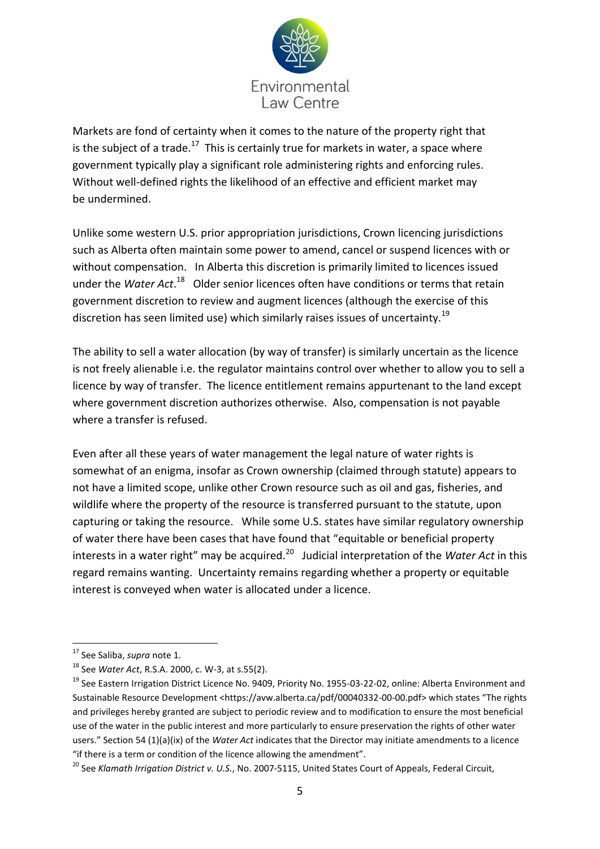

Markets are fond of certainty when it comes to the nature of the property right that is the subject of a trade.<sup>17</sup> This is certainly true for markets in water, a space where government typically play a significant role administering rights and enforcing rules. Without well-defined rights the likelihood of an effective and efficient market may be undermined.

Unlike some western U.S. prior appropriation jurisdictions, Crown licencing jurisdictions such as Alberta often maintain some power to amend, cancel or suspend licences with or without compensation. In Alberta this discretion is primarily limited to licences issued under the Water Act.<sup>18</sup> Older senior licences often have conditions or terms that retain government discretion to review and augment licences (although the exercise of this discretion has seen limited use) which similarly raises issues of uncertainty.<sup>19</sup>

The ability to sell a water allocation (by way of transfer) is similarly uncertain as the licence is not freely alienable i.e. the regulator maintains control over whether to allow you to sell a licence by way of transfer. The licence entitlement remains appurtenant to the land except where government discretion authorizes otherwise. Also, compensation is not payable where a transfer is refused.

Even after all these years of water management the legal nature of water rights is somewhat of an enigma, insofar as Crown ownership (claimed through statute) appears to not have a limited scope, unlike other Crown resource such as oil and gas, fisheries, and wildlife where the property of the resource is transferred pursuant to the statute, upon capturing or taking the resource. While some U.S. states have similar regulatory ownership of water there have been cases that have found that "equitable or beneficial property interests in a water right" may be acquired.<sup>20</sup> Judicial interpretation of the *Water Act* in this regard remains wanting. Uncertainty remains regarding whether a property or equitable interest is conveyed when water is allocated under a licence.

<sup>&</sup>lt;u>.</u> <sup>17</sup> See Saliba, *supra* note 1.

<sup>18</sup> See *Water Act*, R.S.A. 2000, c. W-3, at s.55(2).

<sup>&</sup>lt;sup>19</sup> See Eastern Irrigation District Licence No. 9409, Priority No. 1955-03-22-02, online: Alberta Environment and Sustainable Resource Development <https://avw.alberta.ca/pdf/00040332-00-00.pdf> which states "The rights and privileges hereby granted are subject to periodic review and to modification to ensure the most beneficial use of the water in the public interest and more particularly to ensure preservation the rights of other water users." Section 54 (1)(a)(ix) of the *Water Act* indicates that the Director may initiate amendments to a licence "if there is a term or condition of the licence allowing the amendment".

<sup>20</sup> See *Klamath Irrigation District v. U.S.*, No. 2007-5115, United States Court of Appeals, Federal Circuit,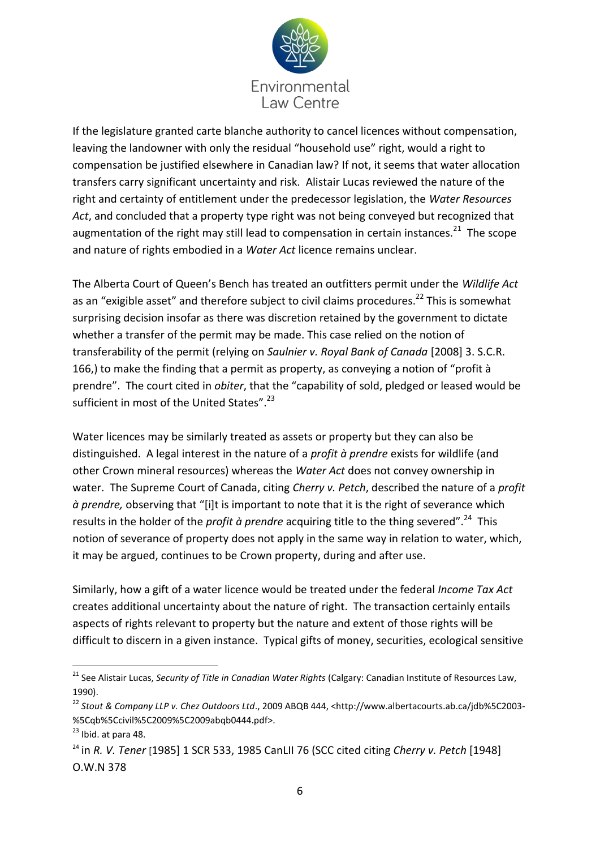

If the legislature granted carte blanche authority to cancel licences without compensation, leaving the landowner with only the residual "household use" right, would a right to compensation be justified elsewhere in Canadian law? If not, it seems that water allocation transfers carry significant uncertainty and risk. Alistair Lucas reviewed the nature of the right and certainty of entitlement under the predecessor legislation, the *Water Resources Act*, and concluded that a property type right was not being conveyed but recognized that augmentation of the right may still lead to compensation in certain instances. $^{21}$  The scope and nature of rights embodied in a *Water Act* licence remains unclear.

The Alberta Court of Queen's Bench has treated an outfitters permit under the *Wildlife Act* as an "exigible asset" and therefore subject to civil claims procedures.<sup>22</sup> This is somewhat surprising decision insofar as there was discretion retained by the government to dictate whether a transfer of the permit may be made. This case relied on the notion of transferability of the permit (relying on *Saulnier v. Royal Bank of Canada* [2008] 3. S.C.R. 166,) to make the finding that a permit as property, as conveying a notion of "profit à prendre". The court cited in *obiter*, that the "capability of sold, pledged or leased would be sufficient in most of the United States".<sup>23</sup>

Water licences may be similarly treated as assets or property but they can also be distinguished. A legal interest in the nature of a *profit à prendre* exists for wildlife (and other Crown mineral resources) whereas the *Water Act* does not convey ownership in water. The Supreme Court of Canada, citing *Cherry v. Petch*, described the nature of a *profit à prendre,* observing that "[i]t is important to note that it is the right of severance which results in the holder of the *profit à prendre* acquiring title to the thing severed".<sup>24</sup> This notion of severance of property does not apply in the same way in relation to water, which, it may be argued, continues to be Crown property, during and after use.

Similarly, how a gift of a water licence would be treated under the federal *Income Tax Act* creates additional uncertainty about the nature of right. The transaction certainly entails aspects of rights relevant to property but the nature and extent of those rights will be difficult to discern in a given instance. Typical gifts of money, securities, ecological sensitive

<u>.</u>

<sup>&</sup>lt;sup>21</sup> See Alistair Lucas, *Security of Title in Canadian Water Rights* (Calgary: Canadian Institute of Resources Law, 1990).

<sup>22</sup> *Stout & Company LLP v. Chez Outdoors Ltd*., 2009 ABQB 444, <http://www.albertacourts.ab.ca/jdb%5C2003- %5Cqb%5Ccivil%5C2009%5C2009abqb0444.pdf>.

 $23$  Ibid. at para 48.

<sup>24</sup> in *R. V. Tener* [1985] 1 SCR 533, 1985 CanLII 76 (SCC cited citing *Cherry v. Petch* [1948] O.W.N 378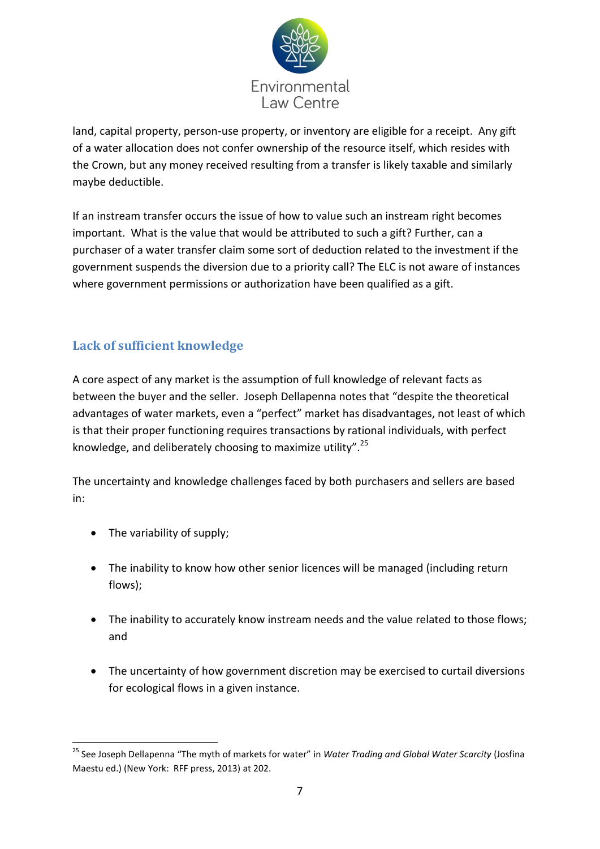

land, capital property, person-use property, or inventory are eligible for a receipt. Any gift of a water allocation does not confer ownership of the resource itself, which resides with the Crown, but any money received resulting from a transfer is likely taxable and similarly maybe deductible.

If an instream transfer occurs the issue of how to value such an instream right becomes important. What is the value that would be attributed to such a gift? Further, can a purchaser of a water transfer claim some sort of deduction related to the investment if the government suspends the diversion due to a priority call? The ELC is not aware of instances where government permissions or authorization have been qualified as a gift.

## **Lack of sufficient knowledge**

A core aspect of any market is the assumption of full knowledge of relevant facts as between the buyer and the seller. Joseph Dellapenna notes that "despite the theoretical advantages of water markets, even a "perfect" market has disadvantages, not least of which is that their proper functioning requires transactions by rational individuals, with perfect knowledge, and deliberately choosing to maximize utility".<sup>25</sup>

The uncertainty and knowledge challenges faced by both purchasers and sellers are based in:

- The variability of supply;
- The inability to know how other senior licences will be managed (including return flows);
- The inability to accurately know instream needs and the value related to those flows; and
- The uncertainty of how government discretion may be exercised to curtail diversions for ecological flows in a given instance.

<sup>&</sup>lt;u>.</u> <sup>25</sup> See Joseph Dellapenna "The myth of markets for water" in *Water Trading and Global Water Scarcity* (Josfina Maestu ed.) (New York: RFF press, 2013) at 202.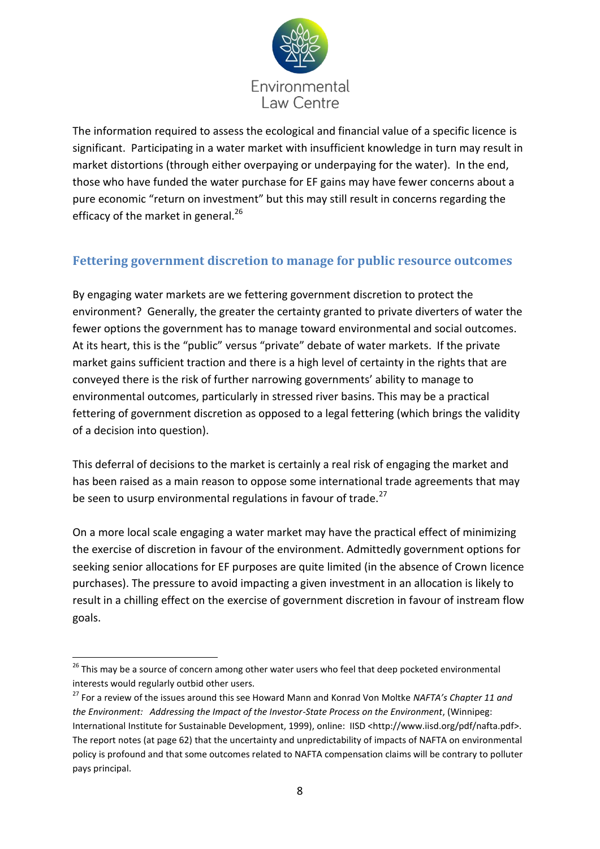

The information required to assess the ecological and financial value of a specific licence is significant. Participating in a water market with insufficient knowledge in turn may result in market distortions (through either overpaying or underpaying for the water). In the end, those who have funded the water purchase for EF gains may have fewer concerns about a pure economic "return on investment" but this may still result in concerns regarding the efficacy of the market in general. $^{26}$ 

### **Fettering government discretion to manage for public resource outcomes**

By engaging water markets are we fettering government discretion to protect the environment? Generally, the greater the certainty granted to private diverters of water the fewer options the government has to manage toward environmental and social outcomes. At its heart, this is the "public" versus "private" debate of water markets. If the private market gains sufficient traction and there is a high level of certainty in the rights that are conveyed there is the risk of further narrowing governments' ability to manage to environmental outcomes, particularly in stressed river basins. This may be a practical fettering of government discretion as opposed to a legal fettering (which brings the validity of a decision into question).

This deferral of decisions to the market is certainly a real risk of engaging the market and has been raised as a main reason to oppose some international trade agreements that may be seen to usurp environmental regulations in favour of trade.<sup>27</sup>

On a more local scale engaging a water market may have the practical effect of minimizing the exercise of discretion in favour of the environment. Admittedly government options for seeking senior allocations for EF purposes are quite limited (in the absence of Crown licence purchases). The pressure to avoid impacting a given investment in an allocation is likely to result in a chilling effect on the exercise of government discretion in favour of instream flow goals.

<sup>1</sup> <sup>26</sup> This may be a source of concern among other water users who feel that deep pocketed environmental interests would regularly outbid other users.

<sup>27</sup> For a review of the issues around this see Howard Mann and Konrad Von Moltke *NAFTA's Chapter 11 and the Environment: Addressing the Impact of the Investor-State Process on the Environment*, (Winnipeg: International Institute for Sustainable Development, 1999), online: IISD <http://www.iisd.org/pdf/nafta.pdf>. The report notes (at page 62) that the uncertainty and unpredictability of impacts of NAFTA on environmental policy is profound and that some outcomes related to NAFTA compensation claims will be contrary to polluter pays principal.